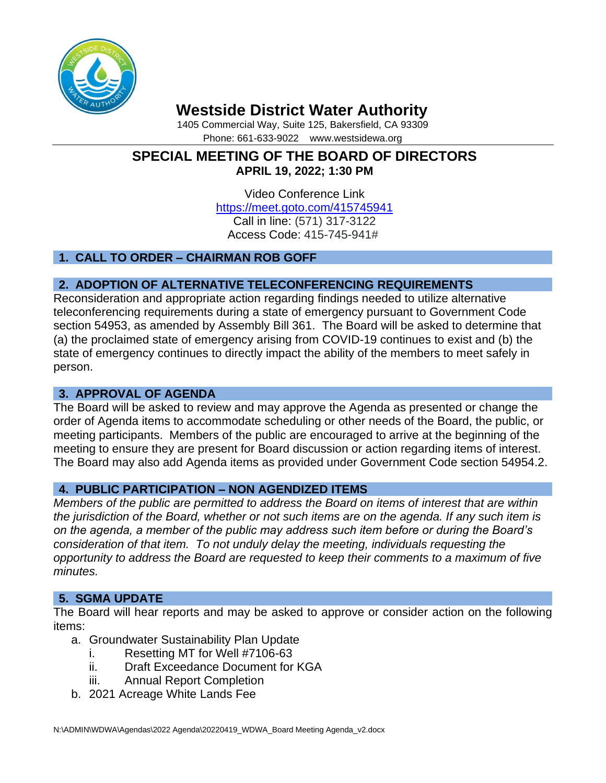

# **Westside District Water Authority**

1405 Commercial Way, Suite 125, Bakersfield, CA 93309 Phone: 661-633-9022 www.westsidewa.org

# **SPECIAL MEETING OF THE BOARD OF DIRECTORS APRIL 19, 2022; 1:30 PM**

Video Conference Link <https://meet.goto.com/415745941> Call in line: (571) 317-3122 Access Code: 415-745-941#

# **1. CALL TO ORDER – CHAIRMAN ROB GOFF**

# **2. ADOPTION OF ALTERNATIVE TELECONFERENCING REQUIREMENTS**

Reconsideration and appropriate action regarding findings needed to utilize alternative teleconferencing requirements during a state of emergency pursuant to Government Code section 54953, as amended by Assembly Bill 361. The Board will be asked to determine that (a) the proclaimed state of emergency arising from COVID-19 continues to exist and (b) the state of emergency continues to directly impact the ability of the members to meet safely in person.

## **3. APPROVAL OF AGENDA**

The Board will be asked to review and may approve the Agenda as presented or change the order of Agenda items to accommodate scheduling or other needs of the Board, the public, or meeting participants. Members of the public are encouraged to arrive at the beginning of the meeting to ensure they are present for Board discussion or action regarding items of interest. The Board may also add Agenda items as provided under Government Code section 54954.2.

## **4. PUBLIC PARTICIPATION – NON AGENDIZED ITEMS**

*Members of the public are permitted to address the Board on items of interest that are within the jurisdiction of the Board, whether or not such items are on the agenda. If any such item is on the agenda, a member of the public may address such item before or during the Board's consideration of that item. To not unduly delay the meeting, individuals requesting the opportunity to address the Board are requested to keep their comments to a maximum of five minutes.*

## **5. SGMA UPDATE**

The Board will hear reports and may be asked to approve or consider action on the following items:

- a. Groundwater Sustainability Plan Update
	- i. Resetting MT for Well #7106-63
	- ii. Draft Exceedance Document for KGA
	- iii. Annual Report Completion
- b. 2021 Acreage White Lands Fee